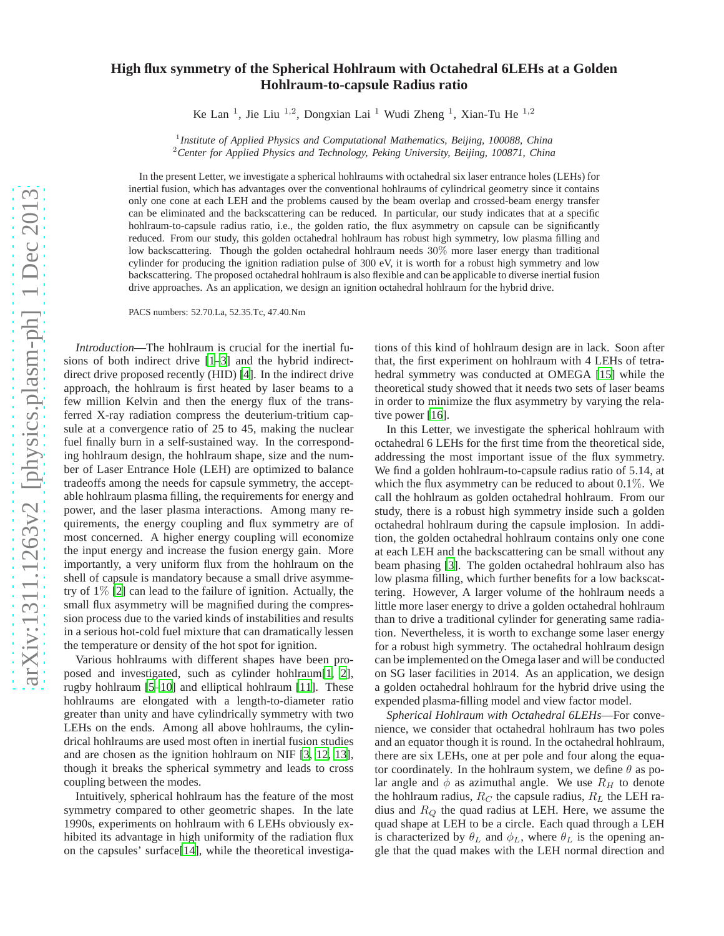## **High flux symmetry of the Spherical Hohlraum with Octahedral 6LEHs at a Golden Hohlraum-to-capsule Radius ratio**

Ke Lan<sup>1</sup>, Jie Liu<sup>1,2</sup>, Dongxian Lai<sup>1</sup> Wudi Zheng<sup>1</sup>, Xian-Tu He<sup>1,2</sup>

1 *Institute of Applied Physics and Computational Mathematics, Beijing, 100088, China* <sup>2</sup>*Center for Applied Physics and Technology, Peking University, Beijing, 100871, China*

In the present Letter, we investigate a spherical hohlraums with octahedral six laser entrance holes (LEHs) for inertial fusion, which has advantages over the conventional hohlraums of cylindrical geometry since it contains only one cone at each LEH and the problems caused by the beam overlap and crossed-beam energy transfer can be eliminated and the backscattering can be reduced. In particular, our study indicates that at a specific hohlraum-to-capsule radius ratio, i.e., the golden ratio, the flux asymmetry on capsule can be significantly reduced. From our study, this golden octahedral hohlraum has robust high symmetry, low plasma filling and low backscattering. Though the golden octahedral hohlraum needs 30% more laser energy than traditional cylinder for producing the ignition radiation pulse of 300 eV, it is worth for a robust high symmetry and low backscattering. The proposed octahedral hohlraum is also flexible and can be applicable to diverse inertial fusion drive approaches. As an application, we design an ignition octahedral hohlraum for the hybrid drive.

PACS numbers: 52.70.La, 52.35.Tc, 47.40.Nm

*Introduction*—The hohlraum is crucial for the inertial fusions of both indirect drive [\[1](#page-3-0)[–3\]](#page-3-1) and the hybrid indirectdirect drive proposed recently (HID) [\[4](#page-3-2)]. In the indirect drive approach, the hohlraum is first heated by laser beams to a few million Kelvin and then the energy flux of the transferred X-ray radiation compress the deuterium-tritium capsule at a convergence ratio of 25 to 45, making the nuclear fuel finally burn in a self-sustained way. In the corresponding hohlraum design, the hohlraum shape, size and the number of Laser Entrance Hole (LEH) are optimized to balance tradeoffs among the needs for capsule symmetry, the acceptable hohlraum plasma filling, the requirements for energy and power, and the laser plasma interactions. Among many requirements, the energy coupling and flux symmetry are of most concerned. A higher energy coupling will economize the input energy and increase the fusion energy gain. More importantly, a very uniform flux from the hohlraum on the shell of capsule is mandatory because a small drive asymmetry of 1% [\[2](#page-3-3)] can lead to the failure of ignition. Actually, the small flux asymmetry will be magnified during the compression process due to the varied kinds of instabilities and results in a serious hot-cold fuel mixture that can dramatically lessen the temperature or density of the hot spot for ignition.

Various hohlraums with different shapes have been proposed and investigated, such as cylinder hohlraum[\[1,](#page-3-0) [2](#page-3-3)], rugby hohlraum [\[5](#page-3-4)[–10\]](#page-3-5) and elliptical hohlraum [\[11\]](#page-3-6). These hohlraums are elongated with a length-to-diameter ratio greater than unity and have cylindrically symmetry with two LEHs on the ends. Among all above hohlraums, the cylindrical hohlraums are used most often in inertial fusion studies and are chosen as the ignition hohlraum on NIF [\[3,](#page-3-1) [12,](#page-3-7) [13](#page-3-8)], though it breaks the spherical symmetry and leads to cross coupling between the modes.

Intuitively, spherical hohlraum has the feature of the most symmetry compared to other geometric shapes. In the late 1990s, experiments on hohlraum with 6 LEHs obviously exhibited its advantage in high uniformity of the radiation flux on the capsules' surface[\[14](#page-3-9)], while the theoretical investigations of this kind of hohlraum design are in lack. Soon after that, the first experiment on hohlraum with 4 LEHs of tetrahedral symmetry was conducted at OMEGA [\[15](#page-3-10)] while the theoretical study showed that it needs two sets of laser beams in order to minimize the flux asymmetry by varying the rela-tive power [\[16\]](#page-3-11).

In this Letter, we investigate the spherical hohlraum with octahedral 6 LEHs for the first time from the theoretical side, addressing the most important issue of the flux symmetry. We find a golden hohlraum-to-capsule radius ratio of 5.14, at which the flux asymmetry can be reduced to about  $0.1\%$ . We call the hohlraum as golden octahedral hohlraum. From our study, there is a robust high symmetry inside such a golden octahedral hohlraum during the capsule implosion. In addition, the golden octahedral hohlraum contains only one cone at each LEH and the backscattering can be small without any beam phasing [\[3](#page-3-1)]. The golden octahedral hohlraum also has low plasma filling, which further benefits for a low backscattering. However, A larger volume of the hohlraum needs a little more laser energy to drive a golden octahedral hohlraum than to drive a traditional cylinder for generating same radiation. Nevertheless, it is worth to exchange some laser energy for a robust high symmetry. The octahedral hohlraum design can be implemented on the Omega laser and will be conducted on SG laser facilities in 2014. As an application, we design a golden octahedral hohlraum for the hybrid drive using the expended plasma-filling model and view factor model.

*Spherical Hohlraum with Octahedral 6LEHs*—For convenience, we consider that octahedral hohlraum has two poles and an equator though it is round. In the octahedral hohlraum, there are six LEHs, one at per pole and four along the equator coordinately. In the hohlraum system, we define  $\theta$  as polar angle and  $\phi$  as azimuthal angle. We use  $R_H$  to denote the hohlraum radius,  $R_C$  the capsule radius,  $R_L$  the LEH radius and  $R<sub>O</sub>$  the quad radius at LEH. Here, we assume the quad shape at LEH to be a circle. Each quad through a LEH is characterized by  $\theta_L$  and  $\phi_L$ , where  $\theta_L$  is the opening angle that the quad makes with the LEH normal direction and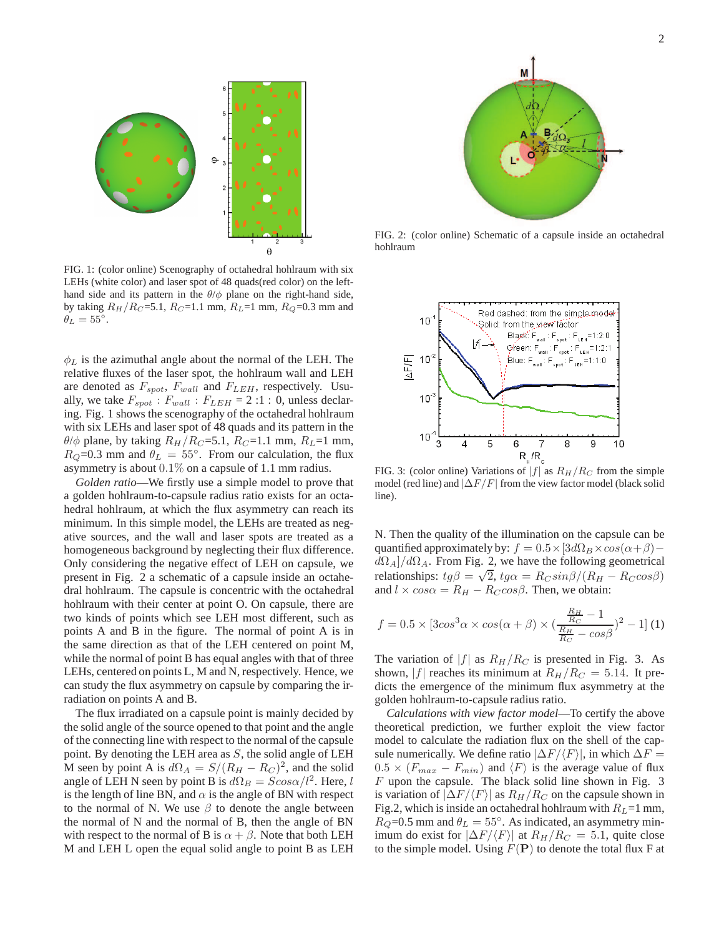

FIG. 1: (color online) Scenography of octahedral hohlraum with six LEHs (white color) and laser spot of 48 quads(red color) on the lefthand side and its pattern in the  $\theta/\phi$  plane on the right-hand side, by taking  $R_H/R_C = 5.1$ ,  $R_C = 1.1$  mm,  $R_L = 1$  mm,  $R_Q = 0.3$  mm and  $\ddot{\theta_L} = 55^\circ.$ 

 $\phi_L$  is the azimuthal angle about the normal of the LEH. The relative fluxes of the laser spot, the hohlraum wall and LEH are denoted as  $F_{spot}$ ,  $F_{wall}$  and  $F_{LEH}$ , respectively. Usually, we take  $F_{spot}$ :  $F_{wall}$ :  $F_{LEH}$  = 2:1: 0, unless declaring. Fig. 1 shows the scenography of the octahedral hohlraum with six LEHs and laser spot of 48 quads and its pattern in the  $\theta/\phi$  plane, by taking  $R_H/R_C$ =5.1,  $R_C$ =1.1 mm,  $R_L$ =1 mm,  $R_Q$ =0.3 mm and  $\theta_L = 55^\circ$ . From our calculation, the flux asymmetry is about 0.1% on a capsule of 1.1 mm radius.

*Golden ratio*—We firstly use a simple model to prove that a golden hohlraum-to-capsule radius ratio exists for an octahedral hohlraum, at which the flux asymmetry can reach its minimum. In this simple model, the LEHs are treated as negative sources, and the wall and laser spots are treated as a homogeneous background by neglecting their flux difference. Only considering the negative effect of LEH on capsule, we present in Fig. 2 a schematic of a capsule inside an octahedral hohlraum. The capsule is concentric with the octahedral hohlraum with their center at point O. On capsule, there are two kinds of points which see LEH most different, such as points A and B in the figure. The normal of point A is in the same direction as that of the LEH centered on point M, while the normal of point B has equal angles with that of three LEHs, centered on points L, M and N, respectively. Hence, we can study the flux asymmetry on capsule by comparing the irradiation on points A and B.

The flux irradiated on a capsule point is mainly decided by the solid angle of the source opened to that point and the angle of the connecting line with respect to the normal of the capsule point. By denoting the LEH area as  $S$ , the solid angle of LEH M seen by point A is  $d\Omega_A = S/(R_H - R_C)^2$ , and the solid angle of LEH N seen by point B is  $d\Omega_B = S cos \alpha/l^2$ . Here, l is the length of line BN, and  $\alpha$  is the angle of BN with respect to the normal of N. We use  $\beta$  to denote the angle between the normal of N and the normal of B, then the angle of BN with respect to the normal of B is  $\alpha + \beta$ . Note that both LEH M and LEH L open the equal solid angle to point B as LEH



FIG. 2: (color online) Schematic of a capsule inside an octahedral hohlraum



FIG. 3: (color online) Variations of  $|f|$  as  $R_H/R_C$  from the simple model (red line) and  $|\Delta F/F|$  from the view factor model (black solid line).

N. Then the quality of the illumination on the capsule can be quantified approximately by:  $f = 0.5 \times 3d\Omega_B \times cos(\alpha + \beta)$  $d\Omega_A]/d\Omega_A$ . From Fig. 2, we have the following geometrical relationships:  $tg\beta = \sqrt{2}$ ,  $t\alpha = R_C sin\beta/(R_H - R_C cos\beta)$ and  $l \times cos\alpha = R_H - R_C cos\beta$ . Then, we obtain:

$$
f = 0.5 \times [3\cos^3 \alpha \times \cos(\alpha + \beta) \times (\frac{R_H}{R_C} - 1 \over R_C - \cos \beta)^2 - 1]
$$
(1)

The variation of  $|f|$  as  $R_H/R_C$  is presented in Fig. 3. As shown, |f| reaches its minimum at  $R_H/R_C = 5.14$ . It predicts the emergence of the minimum flux asymmetry at the golden hohlraum-to-capsule radius ratio.

*Calculations with view factor model*—To certify the above theoretical prediction, we further exploit the view factor model to calculate the radiation flux on the shell of the capsule numerically. We define ratio  $|\Delta F/\langle F\rangle|$ , in which  $\Delta F =$  $0.5 \times (F_{max} - F_{min})$  and  $\langle F \rangle$  is the average value of flux  $F$  upon the capsule. The black solid line shown in Fig. 3 is variation of  $|\Delta F/\langle F \rangle|$  as  $R_H/R_C$  on the capsule shown in Fig.2, which is inside an octahedral hohlraum with  $R_L$ =1 mm,  $R_Q$ =0.5 mm and  $\theta_L = 55^\circ$ . As indicated, an asymmetry minimum do exist for  $|\Delta F/\langle F \rangle|$  at  $R_H/R_C = 5.1$ , quite close to the simple model. Using  $F(\mathbf{P})$  to denote the total flux F at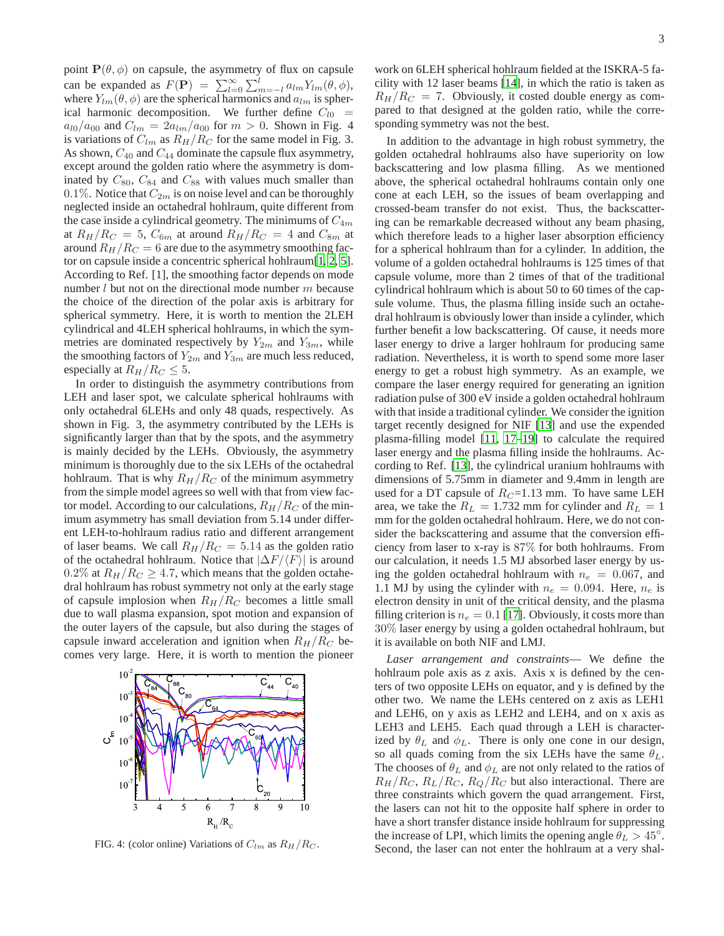point  $P(\theta, \phi)$  on capsule, the asymmetry of flux on capsule can be expanded as  $F(\mathbf{P}) = \sum_{l=0}^{\infty} \sum_{m=-l}^{l} a_{lm} Y_{lm}(\theta, \phi)$ , where  $Y_{lm}(\theta, \phi)$  are the spherical harmonics and  $a_{lm}$  is spherical harmonic decomposition. We further define  $C_{l0}$  =  $a_{l0}/a_{00}$  and  $C_{lm} = 2a_{lm}/a_{00}$  for  $m > 0$ . Shown in Fig. 4 is variations of  $C_{lm}$  as  $R_H/R_C$  for the same model in Fig. 3. As shown,  $C_{40}$  and  $C_{44}$  dominate the capsule flux asymmetry, except around the golden ratio where the asymmetry is dominated by  $C_{80}$ ,  $C_{84}$  and  $C_{88}$  with values much smaller than 0.1%. Notice that  $C_{2m}$  is on noise level and can be thoroughly neglected inside an octahedral hohlraum, quite different from the case inside a cylindrical geometry. The minimums of  $C_{4m}$ at  $R_H/R_C = 5$ ,  $C_{6m}$  at around  $R_H/R_C = 4$  and  $C_{8m}$  at around  $R_H/R_C = 6$  are due to the asymmetry smoothing factor on capsule inside a concentric spherical hohlraum[\[1,](#page-3-0) [2](#page-3-3), [5](#page-3-4)]. According to Ref. [1], the smoothing factor depends on mode number  $l$  but not on the directional mode number  $m$  because the choice of the direction of the polar axis is arbitrary for spherical symmetry. Here, it is worth to mention the 2LEH cylindrical and 4LEH spherical hohlraums, in which the symmetries are dominated respectively by  $Y_{2m}$  and  $Y_{3m}$ , while the smoothing factors of  $Y_{2m}$  and  $Y_{3m}$  are much less reduced, especially at  $R_H/R_C \leq 5$ .

In order to distinguish the asymmetry contributions from LEH and laser spot, we calculate spherical hohlraums with only octahedral 6LEHs and only 48 quads, respectively. As shown in Fig. 3, the asymmetry contributed by the LEHs is significantly larger than that by the spots, and the asymmetry is mainly decided by the LEHs. Obviously, the asymmetry minimum is thoroughly due to the six LEHs of the octahedral hohlraum. That is why  $R_H/R_C$  of the minimum asymmetry from the simple model agrees so well with that from view factor model. According to our calculations,  $R_H/R_C$  of the minimum asymmetry has small deviation from 5.14 under different LEH-to-hohlraum radius ratio and different arrangement of laser beams. We call  $R_H/R_C = 5.14$  as the golden ratio of the octahedral hohlraum. Notice that  $|\Delta F/\langle F \rangle|$  is around 0.2% at  $R_H/R_C \geq 4.7$ , which means that the golden octahedral hohlraum has robust symmetry not only at the early stage of capsule implosion when  $R_H/R_C$  becomes a little small due to wall plasma expansion, spot motion and expansion of the outer layers of the capsule, but also during the stages of capsule inward acceleration and ignition when  $R_H/R_C$  becomes very large. Here, it is worth to mention the pioneer



FIG. 4: (color online) Variations of  $C_{lm}$  as  $R_H/R_C$ .

work on 6LEH spherical hohlraum fielded at the ISKRA-5 facility with 12 laser beams [\[14](#page-3-9)], in which the ratio is taken as  $R_H/R_C = 7$ . Obviously, it costed double energy as compared to that designed at the golden ratio, while the corresponding symmetry was not the best.

In addition to the advantage in high robust symmetry, the golden octahedral hohlraums also have superiority on low backscattering and low plasma filling. As we mentioned above, the spherical octahedral hohlraums contain only one cone at each LEH, so the issues of beam overlapping and crossed-beam transfer do not exist. Thus, the backscattering can be remarkable decreased without any beam phasing, which therefore leads to a higher laser absorption efficiency for a spherical hohlraum than for a cylinder. In addition, the volume of a golden octahedral hohlraums is 125 times of that capsule volume, more than 2 times of that of the traditional cylindrical hohlraum which is about 50 to 60 times of the capsule volume. Thus, the plasma filling inside such an octahedral hohlraum is obviously lower than inside a cylinder, which further benefit a low backscattering. Of cause, it needs more laser energy to drive a larger hohlraum for producing same radiation. Nevertheless, it is worth to spend some more laser energy to get a robust high symmetry. As an example, we compare the laser energy required for generating an ignition radiation pulse of 300 eV inside a golden octahedral hohlraum with that inside a traditional cylinder. We consider the ignition target recently designed for NIF [\[13](#page-3-8)] and use the expended plasma-filling model [\[11,](#page-3-6) [17](#page-3-12)[–19\]](#page-3-13) to calculate the required laser energy and the plasma filling inside the hohlraums. According to Ref. [\[13\]](#page-3-8), the cylindrical uranium hohlraums with dimensions of 5.75mm in diameter and 9.4mm in length are used for a DT capsule of  $R_C$ =1.13 mm. To have same LEH area, we take the  $R_L = 1.732$  mm for cylinder and  $R_L = 1$ mm for the golden octahedral hohlraum. Here, we do not consider the backscattering and assume that the conversion efficiency from laser to x-ray is 87% for both hohlraums. From our calculation, it needs 1.5 MJ absorbed laser energy by using the golden octahedral hohlraum with  $n_e = 0.067$ , and 1.1 MJ by using the cylinder with  $n_e = 0.094$ . Here,  $n_e$  is electron density in unit of the critical density, and the plasma filling criterion is  $n_e = 0.1$  [\[17\]](#page-3-12). Obviously, it costs more than 30% laser energy by using a golden octahedral hohlraum, but it is available on both NIF and LMJ.

*Laser arrangement and constraints*— We define the hohlraum pole axis as z axis. Axis x is defined by the centers of two opposite LEHs on equator, and y is defined by the other two. We name the LEHs centered on z axis as LEH1 and LEH6, on y axis as LEH2 and LEH4, and on x axis as LEH3 and LEH5. Each quad through a LEH is characterized by  $\theta_L$  and  $\phi_L$ . There is only one cone in our design, so all quads coming from the six LEHs have the same  $\theta_L$ . The chooses of  $\theta_L$  and  $\phi_L$  are not only related to the ratios of  $R_H/R_C$ ,  $R_L/R_C$ ,  $R_Q/R_C$  but also interactional. There are three constraints which govern the quad arrangement. First, the lasers can not hit to the opposite half sphere in order to have a short transfer distance inside hohlraum for suppressing the increase of LPI, which limits the opening angle  $\hat{\theta}_L > 45^\circ$ . Second, the laser can not enter the hohlraum at a very shal-